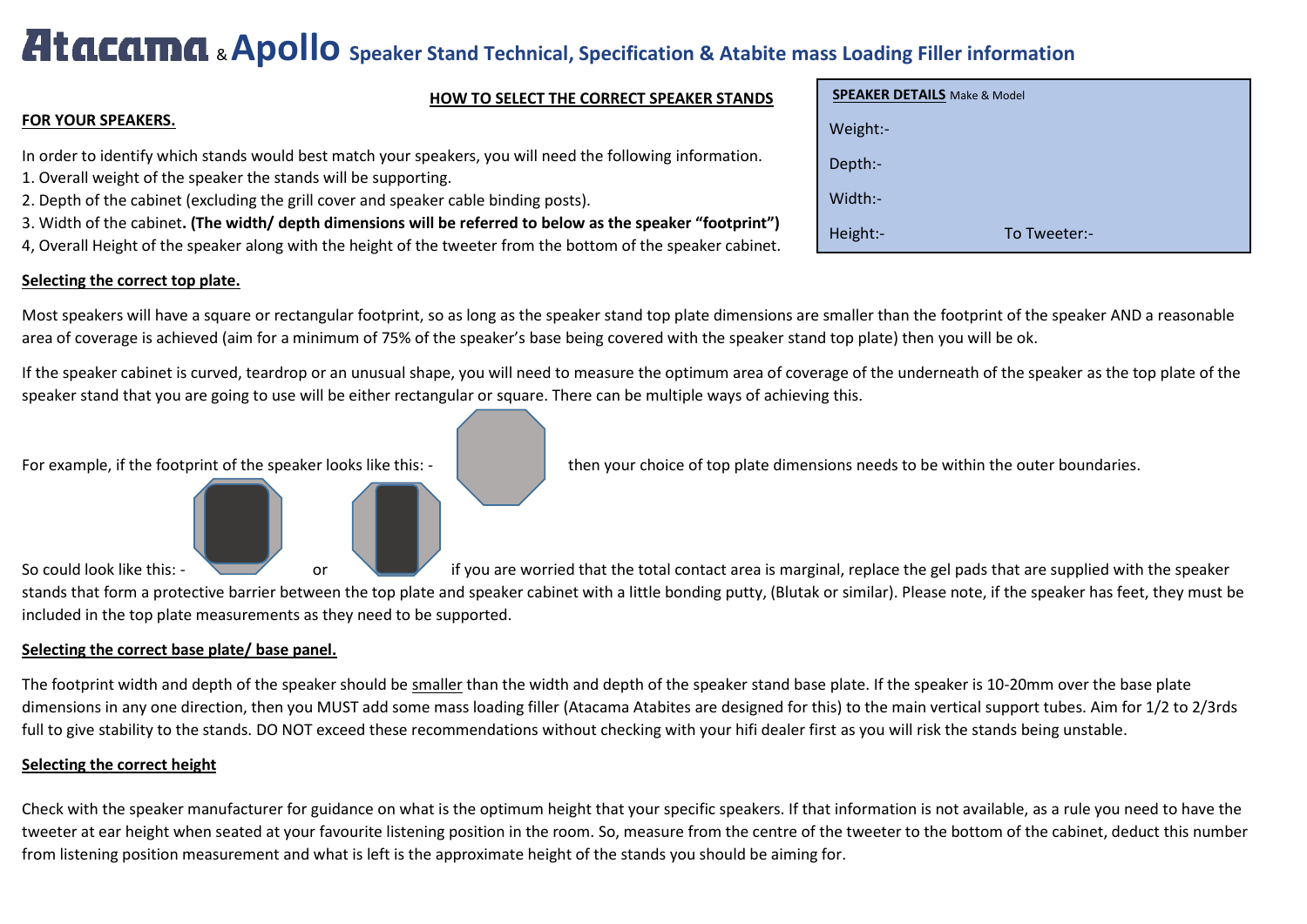# & **Apollo Speaker Stand Technical, Specification & Atabite mass Loading Filler information**

## **HOW TO SELECT THE CORRECT SPEAKER STANDS**

## **FOR YOUR SPEAKERS.**

In order to identify which stands would best match your speakers, you will need the following information.

- 1. Overall weight of the speaker the stands will be supporting.
- 2. Depth of the cabinet (excluding the grill cover and speaker cable binding posts).
- 3. Width of the cabinet**. (The width/ depth dimensions will be referred to below as the speaker "footprint")**
- 4, Overall Height of the speaker along with the height of the tweeter from the bottom of the speaker cabinet.

# **Selecting the correct top plate.**

| <b>SPEAKER DETAILS</b> Make & Model |  |  |  |  |  |  |
|-------------------------------------|--|--|--|--|--|--|
| Weight:-                            |  |  |  |  |  |  |
| Depth:-                             |  |  |  |  |  |  |
| Width:-                             |  |  |  |  |  |  |
| Height:-<br>To Tweeter:-            |  |  |  |  |  |  |

Most speakers will have a square or rectangular footprint, so as long as the speaker stand top plate dimensions are smaller than the footprint of the speaker AND a reasonable area of coverage is achieved (aim for a minimum of 75% of the speaker's base being covered with the speaker stand top plate) then you will be ok.

If the speaker cabinet is curved, teardrop or an unusual shape, you will need to measure the optimum area of coverage of the underneath of the speaker as the top plate of the speaker stand that you are going to use will be either rectangular or square. There can be multiple ways of achieving this.



So could look like this: - or or if you are worried that the total contact area is marginal, replace the gel pads that are supplied with the speaker stands that form a protective barrier between the top plate and speaker cabinet with a little bonding putty, (Blutak or similar). Please note, if the speaker has feet, they must be included in the top plate measurements as they need to be supported.

# **Selecting the correct base plate/ base panel.**

The footprint width and depth of the speaker should be smaller than the width and depth of the speaker stand base plate. If the speaker is 10-20mm over the base plate dimensions in any one direction, then you MUST add some mass loading filler (Atacama Atabites are designed for this) to the main vertical support tubes. Aim for 1/2 to 2/3rds full to give stability to the stands. DO NOT exceed these recommendations without checking with your hifi dealer first as you will risk the stands being unstable.

## **Selecting the correct height**

Check with the speaker manufacturer for guidance on what is the optimum height that your specific speakers. If that information is not available, as a rule you need to have the tweeter at ear height when seated at your favourite listening position in the room. So, measure from the centre of the tweeter to the bottom of the cabinet, deduct this number from listening position measurement and what is left is the approximate height of the stands you should be aiming for.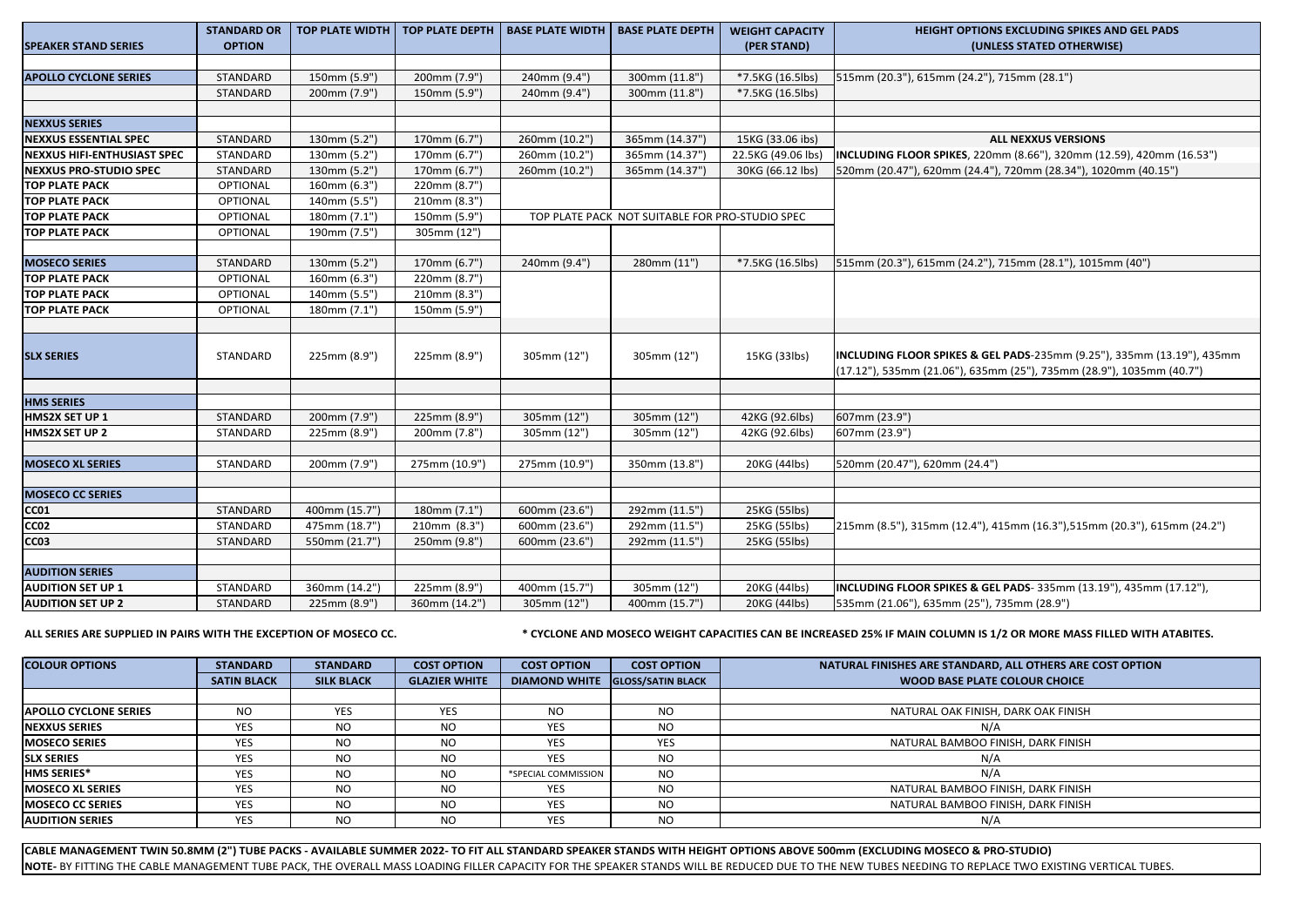| <b>SPEAKER STAND SERIES</b>        | <b>STANDARD OR</b><br><b>OPTION</b> | <b>TOP PLATE WIDTH</b>         |                              | TOP PLATE DEPTH   BASE PLATE WIDTH   BASE PLATE DEPTH |                                                 | <b>WEIGHT CAPACITY</b><br>(PER STAND) | <b>HEIGHT OPTIONS EXCLUDING SPIKES AND GEL PADS</b><br>(UNLESS STATED OTHERWISE)                                                               |  |
|------------------------------------|-------------------------------------|--------------------------------|------------------------------|-------------------------------------------------------|-------------------------------------------------|---------------------------------------|------------------------------------------------------------------------------------------------------------------------------------------------|--|
|                                    |                                     |                                |                              |                                                       |                                                 |                                       |                                                                                                                                                |  |
| <b>APOLLO CYCLONE SERIES</b>       | STANDARD                            | 150mm (5.9")                   | 200mm (7.9")                 | 240mm (9.4")                                          | 300mm (11.8")                                   | *7.5KG (16.5lbs)                      | 515mm (20.3"), 615mm (24.2"), 715mm (28.1")                                                                                                    |  |
|                                    | STANDARD                            | 200mm (7.9")                   | 150mm (5.9")                 | 240mm (9.4")                                          | 300mm (11.8")                                   | *7.5KG (16.5lbs)                      |                                                                                                                                                |  |
|                                    |                                     |                                |                              |                                                       |                                                 |                                       |                                                                                                                                                |  |
| <b>NEXXUS SERIES</b>               |                                     |                                |                              |                                                       |                                                 |                                       |                                                                                                                                                |  |
| <b>NEXXUS ESSENTIAL SPEC</b>       | STANDARD                            | 130mm (5.2")                   | 170mm (6.7")                 | 260mm (10.2")                                         | 365mm (14.37")                                  | 15KG (33.06 ibs)                      | <b>ALL NEXXUS VERSIONS</b>                                                                                                                     |  |
| <b>NEXXUS HIFI-ENTHUSIAST SPEC</b> | STANDARD                            | 130mm (5.2")                   | 170mm (6.7")                 | 260mm (10.2")                                         | 365mm (14.37")                                  | 22.5KG (49.06 lbs)                    | INCLUDING FLOOR SPIKES, 220mm (8.66"), 320mm (12.59), 420mm (16.53")                                                                           |  |
| <b>NEXXUS PRO-STUDIO SPEC</b>      | STANDARD                            | 130mm (5.2")                   | 170mm (6.7")                 | 260mm (10.2")                                         | 365mm (14.37")                                  | 30KG (66.12 lbs)                      | 520mm (20.47"), 620mm (24.4"), 720mm (28.34"), 1020mm (40.15")                                                                                 |  |
| <b>TOP PLATE PACK</b>              | OPTIONAL                            | 160mm (6.3")                   | 220mm (8.7")                 |                                                       |                                                 |                                       |                                                                                                                                                |  |
| <b>TOP PLATE PACK</b>              | OPTIONAL                            | 140mm (5.5")                   | 210mm (8.3")                 |                                                       |                                                 |                                       |                                                                                                                                                |  |
| <b>TOP PLATE PACK</b>              | OPTIONAL                            | 180mm (7.1")                   | 150mm (5.9")                 |                                                       | TOP PLATE PACK NOT SUITABLE FOR PRO-STUDIO SPEC |                                       |                                                                                                                                                |  |
| <b>TOP PLATE PACK</b>              | <b>OPTIONAL</b>                     | 190mm (7.5")                   | 305mm (12")                  |                                                       |                                                 |                                       |                                                                                                                                                |  |
|                                    |                                     |                                |                              |                                                       |                                                 |                                       |                                                                                                                                                |  |
| <b>MOSECO SERIES</b>               | STANDARD                            | 130mm (5.2")                   | 170mm (6.7")                 | 240mm (9.4")                                          | 280mm (11")                                     | *7.5KG (16.5lbs)                      | 515mm (20.3"), 615mm (24.2"), 715mm (28.1"), 1015mm (40")                                                                                      |  |
| <b>TOP PLATE PACK</b>              | OPTIONAL                            | 160mm (6.3")                   | 220mm (8.7")                 |                                                       |                                                 |                                       |                                                                                                                                                |  |
| <b>TOP PLATE PACK</b>              | OPTIONAL                            | 140mm (5.5")                   | 210mm (8.3")                 |                                                       |                                                 |                                       |                                                                                                                                                |  |
| <b>TOP PLATE PACK</b>              | <b>OPTIONAL</b>                     | 180mm (7.1")                   | 150mm (5.9")                 |                                                       |                                                 |                                       |                                                                                                                                                |  |
|                                    |                                     |                                |                              |                                                       |                                                 |                                       |                                                                                                                                                |  |
| <b>SLX SERIES</b>                  | STANDARD                            | 225mm (8.9")                   | 225mm (8.9")                 | 305mm (12")                                           | 305mm (12")                                     | 15KG (33lbs)                          | INCLUDING FLOOR SPIKES & GEL PADS-235mm (9.25"), 335mm (13.19"), 435mm<br>(17.12"), 535mm (21.06"), 635mm (25"), 735mm (28.9"), 1035mm (40.7") |  |
|                                    |                                     |                                |                              |                                                       |                                                 |                                       |                                                                                                                                                |  |
| <b>HMS SERIES</b>                  |                                     |                                |                              |                                                       |                                                 |                                       |                                                                                                                                                |  |
| HMS2X SET UP 1                     | STANDARD                            | 200mm (7.9")                   | 225mm (8.9")                 | 305mm (12")                                           | 305mm (12")                                     | 42KG (92.6lbs)                        | 607mm (23.9")                                                                                                                                  |  |
| HMS2X SET UP 2                     | STANDARD                            | 225mm (8.9")                   | 200mm (7.8")                 | 305mm (12")                                           | 305mm (12")                                     | 42KG (92.6lbs)                        | 607mm (23.9")                                                                                                                                  |  |
|                                    |                                     |                                |                              |                                                       |                                                 |                                       |                                                                                                                                                |  |
| <b>MOSECO XL SERIES</b>            | STANDARD                            | 200mm (7.9")                   | 275mm (10.9")                | 275mm (10.9")                                         | 350mm (13.8")                                   | 20KG (44lbs)                          | 520mm (20.47"), 620mm (24.4")                                                                                                                  |  |
|                                    |                                     |                                |                              |                                                       |                                                 |                                       |                                                                                                                                                |  |
| <b>MOSECO CC SERIES</b>            | STANDARD                            |                                | 180mm (7.1")                 | 600mm (23.6")                                         | 292mm (11.5")                                   | 25KG (55lbs)                          |                                                                                                                                                |  |
| CC01                               |                                     | 400mm (15.7")                  |                              |                                                       |                                                 |                                       | 215mm (8.5"), 315mm (12.4"), 415mm (16.3"), 515mm (20.3"), 615mm (24.2")                                                                       |  |
| CC02<br>CC <sub>03</sub>           | STANDARD<br>STANDARD                | 475mm (18.7")<br>550mm (21.7") | 210mm (8.3")<br>250mm (9.8") | 600mm (23.6")<br>600mm (23.6")                        | 292mm (11.5")<br>292mm (11.5")                  | 25KG (55lbs)                          |                                                                                                                                                |  |
|                                    |                                     |                                |                              |                                                       |                                                 | 25KG (55lbs)                          |                                                                                                                                                |  |
| <b>AUDITION SERIES</b>             |                                     |                                |                              |                                                       |                                                 |                                       |                                                                                                                                                |  |
| <b>AUDITION SET UP 1</b>           | STANDARD                            | 360mm (14.2")                  | 225mm (8.9")                 | 400mm (15.7")                                         | 305mm (12")                                     | 20KG (44lbs)                          | INCLUDING FLOOR SPIKES & GEL PADS-335mm (13.19"), 435mm (17.12"),                                                                              |  |
| <b>AUDITION SET UP 2</b>           | STANDARD                            | 225mm (8.9")                   | 360mm (14.2")                | 305mm (12")                                           | 400mm (15.7")                                   | 20KG (44lbs)                          | 535mm (21.06"), 635mm (25"), 735mm (28.9")                                                                                                     |  |
|                                    |                                     |                                |                              |                                                       |                                                 |                                       |                                                                                                                                                |  |

ALL SERIES ARE SUPPLIED IN PAIRS WITH THE EXCEPTION OF MOSECO CC. **WE ARE ALL SYSTEMS ARE AND MOSECO WEIGHT CAPACITIES CAN BE INCREASED 25% IF MAIN COLUMN IS 1/2 OR MORE MASS FILLED WITH ATABITES.** 

| <b>COLOUR OPTIONS</b>        | <b>STANDARD</b>    | <b>STANDARD</b>   | <b>COST OPTION</b>   | <b>COST OPTION</b>   | <b>COST OPTION</b>       | NATURAL FINISHES ARE STANDARD, ALL OTHERS ARE COST OPTION |
|------------------------------|--------------------|-------------------|----------------------|----------------------|--------------------------|-----------------------------------------------------------|
|                              | <b>SATIN BLACK</b> | <b>SILK BLACK</b> | <b>GLAZIER WHITE</b> | <b>DIAMOND WHITE</b> | <b>GLOSS/SATIN BLACK</b> | <b>WOOD BASE PLATE COLOUR CHOICE</b>                      |
|                              |                    |                   |                      |                      |                          |                                                           |
| <b>APOLLO CYCLONE SERIES</b> | <b>NO</b>          | <b>YES</b>        | <b>YES</b>           | <b>NO</b>            | <b>NO</b>                | NATURAL OAK FINISH, DARK OAK FINISH                       |
| <b>NEXXUS SERIES</b>         | <b>YES</b>         | N <sub>O</sub>    | NO.                  | <b>YES</b>           | <b>NO</b>                | N/A                                                       |
| <b>IMOSECO SERIES</b>        | <b>YES</b>         | <b>NO</b>         | NO.                  | <b>YES</b>           | <b>YES</b>               | NATURAL BAMBOO FINISH, DARK FINISH                        |
| <b>ISLX SERIES</b>           | YES                | <b>NO</b>         | NO.                  | <b>YES</b>           | NO.                      | N/A                                                       |
| <b>HMS SERIES*</b>           | <b>YES</b>         | <b>NO</b>         | NO.                  | *SPECIAL COMMISSION  | <b>NO</b>                | N/A                                                       |
| <b>IMOSECO XL SERIES</b>     | <b>YES</b>         | N <sub>O</sub>    | <b>NO</b>            | <b>YES</b>           | <b>NO</b>                | NATURAL BAMBOO FINISH, DARK FINISH                        |
| <b>IMOSECO CC SERIES</b>     | <b>YES</b>         | <b>NO</b>         | NO.                  | <b>YES</b>           | <b>NO</b>                | NATURAL BAMBOO FINISH, DARK FINISH                        |
| <b>JAUDITION SERIES</b>      | YES                | <b>NO</b>         | NO.                  | <b>YES</b>           | <b>NO</b>                | N/A                                                       |

**CABLE MANAGEMENT TWIN 50.8MM (2") TUBE PACKS - AVAILABLE SUMMER 2022- TO FIT ALL STANDARD SPEAKER STANDS WITH HEIGHT OPTIONS ABOVE 500mm (EXCLUDING MOSECO & PRO-STUDIO) NOTE-** BY FITTING THE CABLE MANAGEMENT TUBE PACK, THE OVERALL MASS LOADING FILLER CAPACITY FOR THE SPEAKER STANDS WILL BE REDUCED DUE TO THE NEW TUBES NEEDING TO REPLACE TWO EXISTING VERTICAL TUBES.